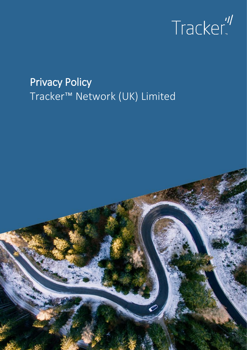# Tracker."

## Privacy Policy Tracker™ Network (UK) Limited

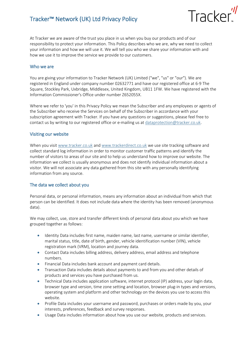At Tracker we are aware of the trust you place in us when you buy our products and of our responsibility to protect your information. This Policy describes who we are, why we need to collect your information and how we will use it. We will tell you who we share your information with and how we use it to improve the service we provide to our customers.

Tracker."

#### Who we are

You are giving your information to Tracker Network (UK) Limited ("we", "us" or "our"). We are registered in England under company number 02632771 and have our registered office at 6-9 The Square, Stockley Park, Uxbridge, Middlesex, United Kingdom, UB11 1FW. We have registered with the Information Commissioner's Office under number Z652055X.

Where we refer to 'you' in this Privacy Policy we mean the Subscriber and any employees or agents of the Subscriber who receive the Services on behalf of the Subscriber in accordance with your subscription agreement with Tracker. If you have any questions or suggestions, please feel free to contact us by writing to our registered office or e-mailing us at [dataprotection@tracker.co.uk.](mailto:dataprotection@tracker.co.uk)

#### Visiting our website

When you visit [www.tracker.co.uk](http://www.tracker.co.uk/) and [www.trackerdirect.co.uk](http://www.trackerdirect.co.uk/) we use site tracking software and collect standard log information in order to monitor customer traffic patterns and identify the number of visitors to areas of our site and to help us understand how to improve our website. The information we collect is usually anonymous and does not identify individual information about a visitor. We will not associate any data gathered from this site with any personally identifying information from any source.

## The data we collect about you

Personal data, or personal information, means any information about an individual from which that person can be identified. It does not include data where the identity has been removed (anonymous data).

We may collect, use, store and transfer different kinds of personal data about you which we have grouped together as follows:

- Identity Data includes first name, maiden name, last name, username or similar identifier, marital status, title, date of birth, gender, vehicle identification number (VIN), vehicle registration mark (VRM), location and journey data.
- Contact Data includes billing address, delivery address, email address and telephone numbers.
- Financial Data includes bank account and payment card details.
- Transaction Data includes details about payments to and from you and other details of products and services you have purchased from us.
- Technical Data includes application software, internet protocol (IP) address, your login data, browser type and version, time zone setting and location, browser plug-in types and versions, operating system and platform and other technology on the devices you use to access this website.
- Profile Data includes your username and password, purchases or orders made by you, your interests, preferences, feedback and survey responses.
- Usage Data includes information about how you use our website, products and services.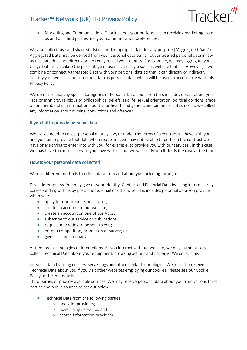

• Marketing and Communications Data includes your preferences in receiving marketing from us and our third parties and your communication preferences.

We also collect, use and share statistical or demographic data for any purpose ("Aggregated Data"). Aggregated Data may be derived from your personal data but is not considered personal data in law as this data does not directly or indirectly reveal your identity. For example, we may aggregate your Usage Data to calculate the percentage of users accessing a specific website feature. However, if we combine or connect Aggregated Data with your personal data so that it can directly or indirectly identify you, we treat the combined data as personal data which will be used in accordance with this Privacy Policy.

We do not collect any Special Categories of Personal Data about you (this includes details about your race or ethnicity, religious or philosophical beliefs, sex life, sexual orientation, political opinions, trade union membership, information about your health and genetic and biometric data), nor do we collect any information about criminal convictions and offences.

## If you fail to provide personal data

Where we need to collect personal data by law, or under the terms of a contract we have with you and you fail to provide that data when requested, we may not be able to perform the contract we have or are trying to enter into with you (for example, to provide you with our services). In this case, we may have to cancel a service you have with us, but we will notify you if this is the case at the time.

## How is your personal data collected?

We use different methods to collect data from and about you including through:

Direct interactions. You may give us your Identity, Contact and Financial Data by filling in forms or by corresponding with us by post, phone, email or otherwise. This includes personal data you provide when you:

- apply for our products or services;
- create an account on our website:
- create an account on one of our Apps:
- subscribe to our service or publications;
- request marketing to be sent to you;
- enter a competition, promotion or survey; or
- give us some feedback.

Automated technologies or interactions. As you interact with our website, we may automatically collect Technical Data about your equipment, browsing actions and patterns. We collect this

personal data by using cookies, server logs and other similar technologies. We may also receive Technical Data about you if you visit other websites employing our cookies. Please see our Cookie Policy for further details.

Third parties or publicly available sources. We may receive personal data about you from various third parties and public sources as set out below:

- Technical Data from the following parties:
	- o analytics providers;
	- o advertising networks; and
	- o search information providers.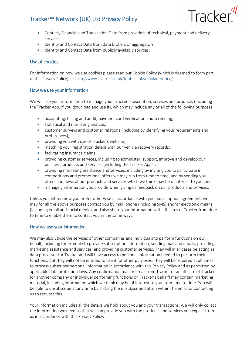

- Contact, Financial and Transaction Data from providers of technical, payment and delivery services.
- Identity and Contact Data from data brokers or aggregators.
- Identity and Contact Data from publicly availably sources.

## Use of cookies

For information on how we use cookies please read our Cookie Policy (which is deemed to form part of this Privacy Policy) at[: http://www.tracker.co.uk/footer-links/cookie-notice/](http://www.tracker.co.uk/footer-links/cookie-notice/)

## How we use your information

We will use your information to manage your Tracker subscription, services and products (including the Tracker App, if you download and use it), which may include any or all of the following purposes:

- accounting, billing and audit, payment card verification and screening;
- statistical and marketing analysis;
- customer surveys and customer relations (including by identifying your requirements and preferences);
- providing you with use of Tracker's website;
- matching your registration details with our vehicle recovery records;
- facilitating insurance claims:
- providing customer services, including to administer, support, improve and develop our business, products and services (including the Tracker Apps);
- providing marketing assistance and services, including by inviting you to participate in competitions and promotional offers we may run from time to time, and by sending you offers and news about products and services which we think may be of interest to you; and
- managing information you provide when giving us feedback on our products and services.

Unless you let us know you prefer otherwise in accordance with your subscription agreement, we may for all the above purposes contact you by mail, phone (including SMS) and/or electronic means (including email and social media), and also share your information with affiliates of Tracker from time to time to enable them to contact you in the same ways.

## How we use your information

We may also utilise the services of other companies and individuals to perform functions on our behalf, including for example to provide subscription information, sending mail and emails, providing marketing assistance and services, and providing customer services. They will in all cases be acting as data processor for Tracker and will have access to personal information needed to perform their functions, but they will not be entitled to use it for other purposes. They will be required at all times to process subscriber personal information in accordance with this Privacy Policy and as permitted by applicable data protection laws. Any confirmation mail or email from Tracker or an affiliate of Tracker (or another company or individual performing functions on Tracker's behalf) may contain marketing material, including information which we think may be of interest to you from time to time. You will be able to unsubscribe at any time by clicking the unsubscribe button within the email or contacting us to request this.

Your information includes all the details we hold about you and your transactions. We will only collect the information we need so that we can provide you with the products and services you expect from us in accordance with this Privacy Policy.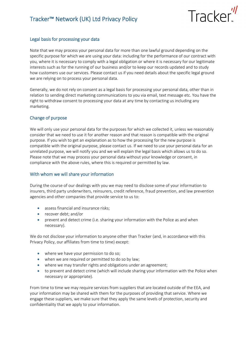

## Legal basis for processing your data

Note that we may process your personal data for more than one lawful ground depending on the specific purpose for which we are using your data: including for the performance of our contract with you, where it is necessary to comply with a legal obligation or where it is necessary for our legitimate interests such as for the running of our business and/or to keep our records updated and to study how customers use our services. Please contact us if you need details about the specific legal ground we are relying on to process your personal data.

Generally, we do not rely on consent as a legal basis for processing your personal data, other than in relation to sending direct marketing communications to you via email, text message etc. You have the right to withdraw consent to processing your data at any time by contacting us including any marketing.

#### Change of purpose

We will only use your personal data for the purposes for which we collected it, unless we reasonably consider that we need to use it for another reason and that reason is compatible with the original purpose. If you wish to get an explanation as to how the processing for the new purpose is compatible with the original purpose, please contact us. If we need to use your personal data for an unrelated purpose, we will notify you and we will explain the legal basis which allows us to do so. Please note that we may process your personal data without your knowledge or consent, in compliance with the above rules, where this is required or permitted by law.

#### With whom we will share your information

During the course of our dealings with you we may need to disclose some of your information to insurers, third party underwriters, reinsurers, credit reference, fraud prevention, and law prevention agencies and other companies that provide service to us to:

- assess financial and insurance risks:
- recover debt; and/or
- prevent and detect crime (i.e. sharing your information with the Police as and when necessary).

We do not disclose your information to anyone other than Tracker (and, in accordance with this Privacy Policy, our affiliates from time to time) except:

- where we have your permission to do so;
- when we are required or permitted to do so by law;
- where we may transfer rights and obligations under an agreement;
- to prevent and detect crime (which will include sharing your information with the Police when necessary or appropriate).

From time to time we may require services from suppliers that are located outside of the EEA, and your information may be shared with them for the purposes of providing that service. Where we engage these suppliers, we make sure that they apply the same levels of protection, security and confidentiality that we apply to your information.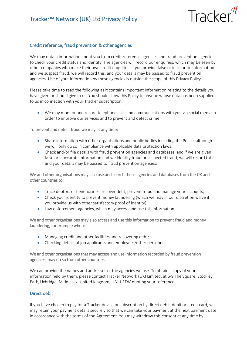## Tracker."

## Credit reference, fraud prevention & other agencies

We may obtain information about you from credit reference agencies and fraud prevention agencies to check your credit status and identity. The agencies will record our enquiries, which may be seen by other companies who make their own credit enquiries. If you provide false or inaccurate information and we suspect fraud, we will record this, and your details may be passed to fraud prevention agencies. Use of your information by these agencies is outside the scope of this Privacy Policy.

Please take time to read the following as it contains important information relating to the details you have given or should give to us. You should show this Policy to anyone whose data has been supplied to us in connection with your Tracker subscription.

• We may monitor and record telephone calls and communications with you via social media in order to improve our services and to prevent and detect crime.

#### To prevent and detect fraud we may at any time:

- Share information with other organisations and public bodies including the Police, although we will only do so in compliance with applicable data protection laws;
- Check and/or file details with fraud prevention agencies and databases, and if we are given false or inaccurate information and we identify fraud or suspected fraud, we will record this, and your details may be passed to fraud prevention agencies.

We and other organisations may also use and search these agencies and databases from the UK and other countries to:

- Trace debtors or beneficiaries, recover debt, prevent fraud and manage your accounts;
- Check your identity to prevent money laundering (which we may in our discretion waive if you provide us with other satisfactory proof of identity);
- Law enforcement agencies, which may access and use this information.

We and other organisations may also access and use this information to prevent fraud and money laundering, for example when:

- Managing credit and other facilities and recovering debt;
- Checking details of job applicants and employees/other personnel.

## We and other organisations that may access and use information recorded by fraud prevention agencies, may do so from other countries.

We can provide the names and addresses of the agencies we use. To obtain a copy of your information held by them, please contact Tracker Network (UK) Limited, at 6-9 The Square, Stockley Park, Uxbridge, Middlesex, United Kingdom, UB11 1FW quoting your reference.

## Direct debit

If you have chosen to pay for a Tracker device or subscription by direct debit, debit or credit card, we may retain your payment details securely so that we can take your payment at the next payment date in accordance with the terms of the Agreement. You may withdraw this consent at any time by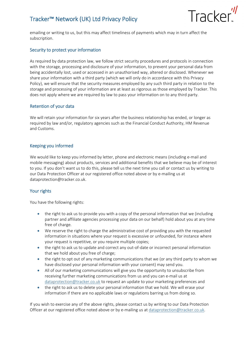

emailing or writing to us, but this may affect timeliness of payments which may in turn affect the subscription.

## Security to protect your information

As required by data protection law, we follow strict security procedures and protocols in connection with the storage, processing and disclosure of your information, to prevent your personal data from being accidentally lost, used or accessed in an unauthorised way, altered or disclosed. Whenever we share your information with a third party (which we will only do in accordance with this Privacy Policy), we will ensure that the security measures employed by any such third party in relation to the storage and processing of your information are at least as rigorous as those employed by Tracker. This does not apply where we are required by law to pass your information on to any third party.

## Retention of your data

We will retain your information for six years after the business relationship has ended, or longer as required by law and/or, regulatory agencies such as the Financial Conduct Authority, HM Revenue and Customs.

## Keeping you informed

We would like to keep you informed by letter, phone and electronic means (including e-mail and mobile messaging) about products, services and additional benefits that we believe may be of interest to you. If you don't want us to do this, please tell us the next time you call or contact us by writing to our Data Protection Officer at our registered office noted above or by e-mailing us at dataprotection@tracker.co.uk.

## Your rights

You have the following rights:

- the right to ask us to provide you with a copy of the personal information that we (including partner and affiliate agencies processing your data on our behalf) hold about you at any time free of charge.
- We reserve the right to charge the administrative cost of providing you with the requested information in situations where your request is excessive or unfounded, for instance where your request is repetitive, or you require multiple copies;
- the right to ask us to update and correct any out-of-date or incorrect personal information that we hold about you free of charge;
- the right to opt out of any marketing communications that we (or any third party to whom we have disclosed your personal information with your consent) may send you.
- All of our marketing communications will give you the opportunity to unsubscribe from receiving further marketing communications from us and you can e-mail us at [dataprotection@tracker.co.uk](mailto:dataprotection@tracker.co.uk) to request an update to your marketing preferences and
- the right to ask us to delete your personal information that we hold. We will erase your information if there are no applicable laws or regulations barring us from doing so.

If you wish to exercise any of the above rights, please contact us by writing to our Data Protection Officer at our registered office noted above or by e-mailing us a[t dataprotection@tracker.co.uk.](mailto:dataprotection@tracker.co.uk)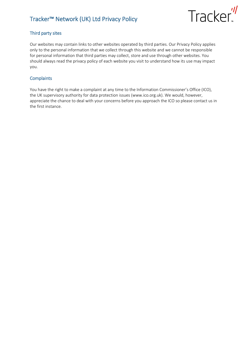

## Third party sites

Our websites may contain links to other websites operated by third parties. Our Privacy Policy applies only to the personal information that we collect through this website and we cannot be responsible for personal information that third parties may collect, store and use through other websites. You should always read the privacy policy of each website you visit to understand how its use may impact you.

## **Complaints**

You have the right to make a complaint at any time to the Information Commissioner's Office (ICO), the UK supervisory authority for data protection issues (www.ico.org.uk). We would, however, appreciate the chance to deal with your concerns before you approach the ICO so please contact us in the first instance.